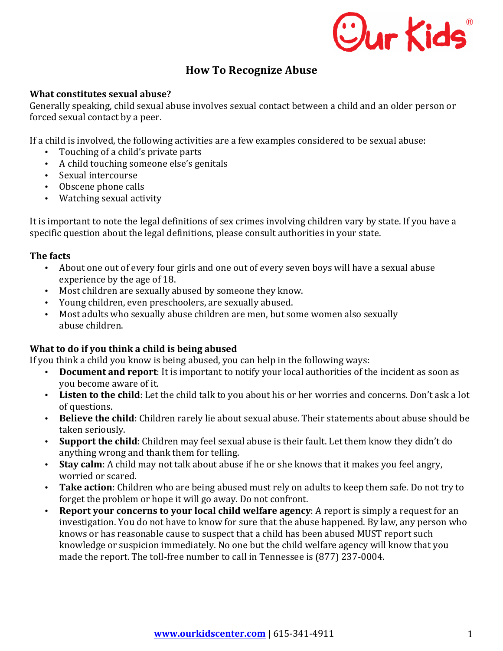

# **How To Recognize Abuse**

## **What constitutes sexual abuse?**

Generally speaking, child sexual abuse involves sexual contact between a child and an older person or forced sexual contact by a peer.

If a child is involved, the following activities are a few examples considered to be sexual abuse:

- Touching of a child's private parts
- A child touching someone else's genitals
- Sexual intercourse
- Obscene phone calls
- Watching sexual activity

It is important to note the legal definitions of sex crimes involving children vary by state. If you have a specific question about the legal definitions, please consult authorities in your state.

# **The facts**

- About one out of every four girls and one out of every seven boys will have a sexual abuse experience by the age of 18.
- Most children are sexually abused by someone they know.
- Young children, even preschoolers, are sexually abused.
- Most adults who sexually abuse children are men, but some women also sexually abuse children.

# **What to do if you think a child is being abused**

If you think a child you know is being abused, you can help in the following ways:

- **Document and report**: It is important to notify your local authorities of the incident as soon as you become aware of it.
- Listen to the child: Let the child talk to you about his or her worries and concerns. Don't ask a lot of questions.
- Believe the child: Children rarely lie about sexual abuse. Their statements about abuse should be taken seriously.
- Support the child: Children may feel sexual abuse is their fault. Let them know they didn't do anything wrong and thank them for telling.
- Stay calm: A child may not talk about abuse if he or she knows that it makes you feel angry, worried or scared.
- **Take action**: Children who are being abused must rely on adults to keep them safe. Do not try to forget the problem or hope it will go away. Do not confront.
- Report vour concerns to your local child welfare agency: A report is simply a request for an investigation. You do not have to know for sure that the abuse happened. By law, any person who knows or has reasonable cause to suspect that a child has been abused MUST report such knowledge or suspicion immediately. No one but the child welfare agency will know that you made the report. The toll-free number to call in Tennessee is (877) 237-0004.